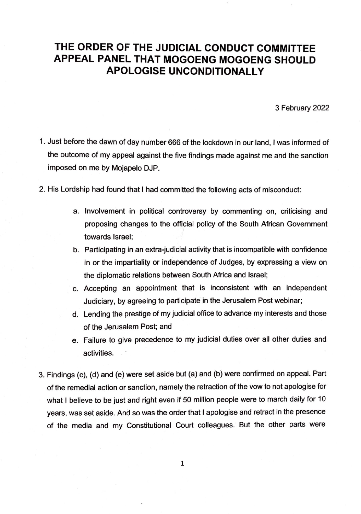## **THE ORDER OF THE JUDICIAL CONDUCT COMMITTEE APPEAL PANEL THAT MOGOENG MOGOENG SHOULD APOLOGISE UNCONDITIONALLY**

3 February 2022

- 1. Just before the dawn of day number 666 of the lockdown in our land, I was informed of the outcome of my appeal against the five findings made against me and the sanction imposed on me by Mojapelo DJP.
- 2. His Lordship had found that I had committed the following acts of misconduct:
	- a. Involvement in political controversy by commenting on, criticising and proposing changes to the official policy of the South African Government towards Israel;
	- b. Participating in an extra-judicial activity that is incompatible with confidence in or the impartiality or independence of Judges, by expressing a view on the diplomatic relations between South Africa and Israel;
	- c. Accepting an appointment that is inconsistent with an independent Judiciary, by agreeing to participate in the Jerusalem Post webinar;
	- d. Lending the prestige of my judicial office to advance my interests and those of the Jerusalem Post; and
	- e. Failure to give precedence to my judicial duties over all other duties and activities.
- 3. Findings (c), (d) and (e) were set aside but (a) and (b) were confirmed on appeal. Part of the remedial action or sanction, namely the retraction of the vow to not apologise for what I believe to be just and right even if 50 million people were to march daily for 10 years, was set aside. And so was the order that I apologise and retract in the presence of the media and my Constitutional Court colleagues. But the other parts were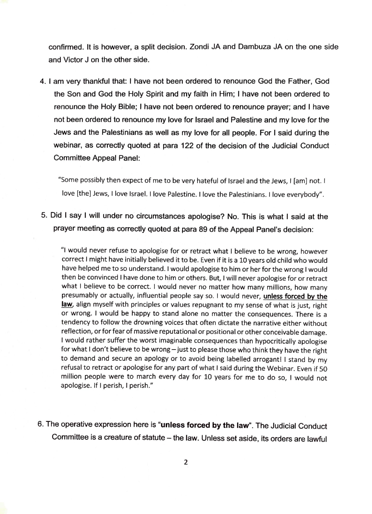confirmed. It is however, a split decision. Zondi JA and Dambuza JA on the one side and Victor J on the other side.

4. I am very thankful that: I have not been ordered to renounce God the Father, God the Son and God the Holy Spirit and my faith in Him; I have not been ordered to renounce the Holy Bible; I have not been ordered to renounce prayer; and I have not been ordered to renounce my love for Israel and Palestine and my love for the Jews and the Palestinians as well as my love for all people. For I said during the webinar, as correctly quoted at para 122 of the decision of the Judicial Conduct Committee Appeal Panel:

"Some possibly then expect of me to be very hateful of Israel and the Jews, I [am] not. I love [the] Jews, I love Israel. I love Palestine. I love the Palestinians. I love everybody".

5. Did I say I will under no circumstances apologise? No. This is what I said at the prayer meeting as correctly quoted at para 89 of the Appeal Panel's decision:

"I would never refuse to apologise for or retract what I believe to be wrong, however correct I might have initially believed it to be. Even if it is a 10 years old child who would have helped me to so understand. I would apologise to him or her for the wrong I would then be convinced I have done to him or others. But, I will never apologise for or retract what I believe to be correct. I would never no matter how many millions, how many presumably or actually, influential people say so. I would never, **unless forced by the**  law, align myself with principles or values repugnant to my sense of what is just, right or wrong. I would be happy to stand alone no matter the consequences. There is a tendency to follow the drowning voices that often dictate the narrative either without reflection, or for fear of massive reputational or positional or other conceivable damage. I would rather suffer the worst imaginable consequences than hypocritically apologise for what I don't believe to be wrong - just to please those who think they have the right to demand and secure an apology or to avoid being labelled arrogant! I stand by my refusal to retract or apologise for any part of what I said during the Webinar. Even if 50 million people were to march every day for 10 years for me to do so, I would not apologise. If I perish, I perish."

6. The operative expression here is **"unless forced by the law".** The Judicial Conduct Committee is a creature of statute - the law. Unless set aside, its orders are lawful